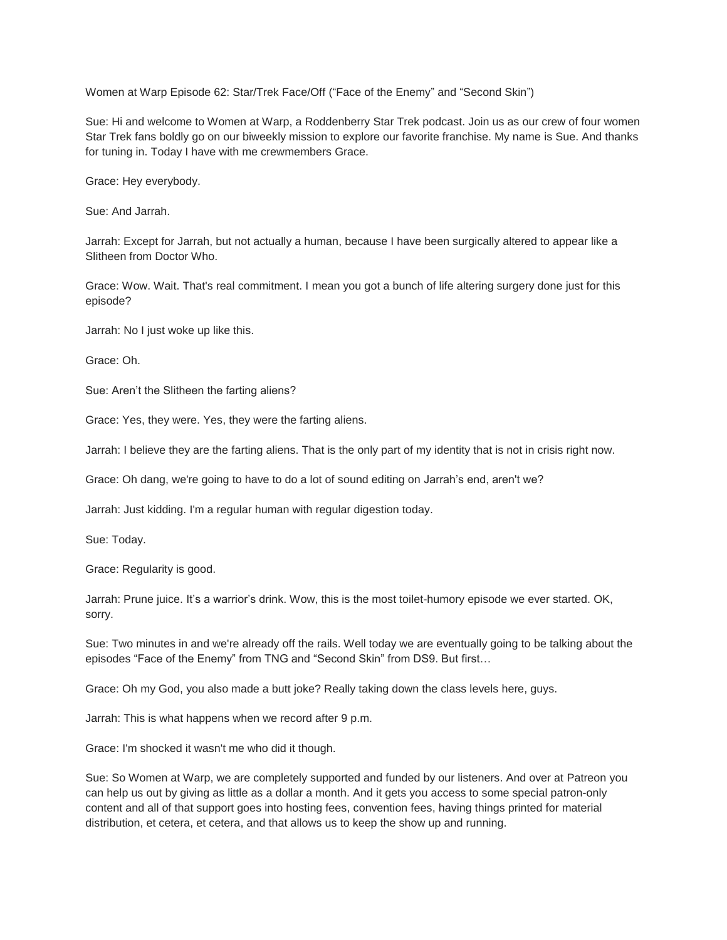Women at Warp Episode 62: Star/Trek Face/Off ("Face of the Enemy" and "Second Skin")

Sue: Hi and welcome to Women at Warp, a Roddenberry Star Trek podcast. Join us as our crew of four women Star Trek fans boldly go on our biweekly mission to explore our favorite franchise. My name is Sue. And thanks for tuning in. Today I have with me crewmembers Grace.

Grace: Hey everybody.

Sue: And Jarrah.

Jarrah: Except for Jarrah, but not actually a human, because I have been surgically altered to appear like a Slitheen from Doctor Who.

Grace: Wow. Wait. That's real commitment. I mean you got a bunch of life altering surgery done just for this episode?

Jarrah: No I just woke up like this.

Grace: Oh.

Sue: Aren't the Slitheen the farting aliens?

Grace: Yes, they were. Yes, they were the farting aliens.

Jarrah: I believe they are the farting aliens. That is the only part of my identity that is not in crisis right now.

Grace: Oh dang, we're going to have to do a lot of sound editing on Jarrah's end, aren't we?

Jarrah: Just kidding. I'm a regular human with regular digestion today.

Sue: Today.

Grace: Regularity is good.

Jarrah: Prune juice. It's a warrior's drink. Wow, this is the most toilet-humory episode we ever started. OK, sorry.

Sue: Two minutes in and we're already off the rails. Well today we are eventually going to be talking about the episodes "Face of the Enemy" from TNG and "Second Skin" from DS9. But first…

Grace: Oh my God, you also made a butt joke? Really taking down the class levels here, guys.

Jarrah: This is what happens when we record after 9 p.m.

Grace: I'm shocked it wasn't me who did it though.

Sue: So Women at Warp, we are completely supported and funded by our listeners. And over at Patreon you can help us out by giving as little as a dollar a month. And it gets you access to some special patron-only content and all of that support goes into hosting fees, convention fees, having things printed for material distribution, et cetera, et cetera, and that allows us to keep the show up and running.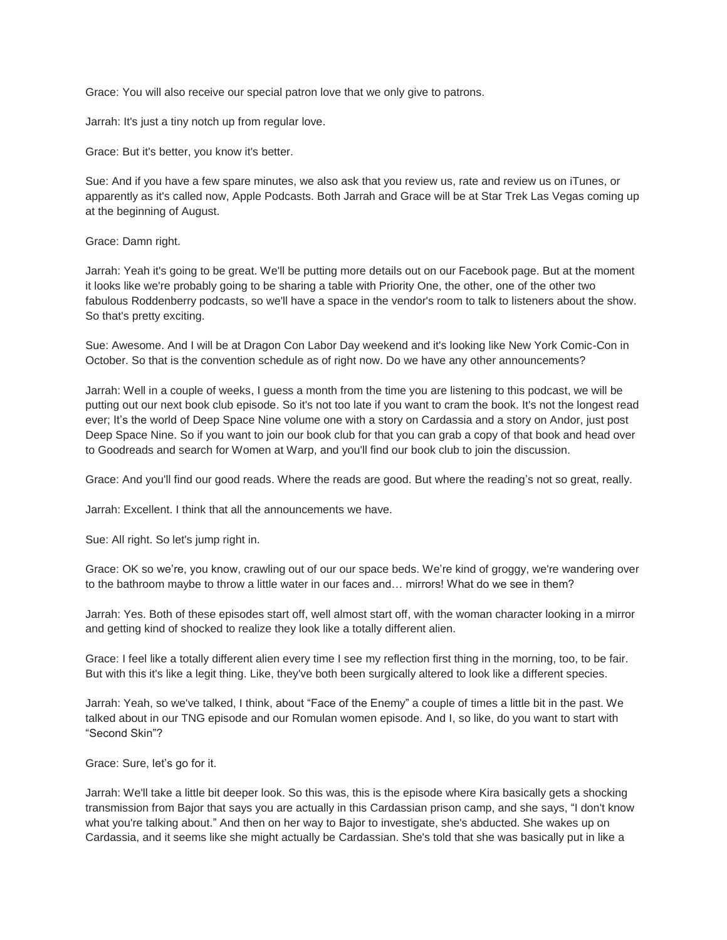Grace: You will also receive our special patron love that we only give to patrons.

Jarrah: It's just a tiny notch up from regular love.

Grace: But it's better, you know it's better.

Sue: And if you have a few spare minutes, we also ask that you review us, rate and review us on iTunes, or apparently as it's called now, Apple Podcasts. Both Jarrah and Grace will be at Star Trek Las Vegas coming up at the beginning of August.

Grace: Damn right.

Jarrah: Yeah it's going to be great. We'll be putting more details out on our Facebook page. But at the moment it looks like we're probably going to be sharing a table with Priority One, the other, one of the other two fabulous Roddenberry podcasts, so we'll have a space in the vendor's room to talk to listeners about the show. So that's pretty exciting.

Sue: Awesome. And I will be at Dragon Con Labor Day weekend and it's looking like New York Comic-Con in October. So that is the convention schedule as of right now. Do we have any other announcements?

Jarrah: Well in a couple of weeks, I guess a month from the time you are listening to this podcast, we will be putting out our next book club episode. So it's not too late if you want to cram the book. It's not the longest read ever; It's the world of Deep Space Nine volume one with a story on Cardassia and a story on Andor, just post Deep Space Nine. So if you want to join our book club for that you can grab a copy of that book and head over to Goodreads and search for Women at Warp, and you'll find our book club to join the discussion.

Grace: And you'll find our good reads. Where the reads are good. But where the reading's not so great, really.

Jarrah: Excellent. I think that all the announcements we have.

Sue: All right. So let's jump right in.

Grace: OK so we're, you know, crawling out of our our space beds. We're kind of groggy, we're wandering over to the bathroom maybe to throw a little water in our faces and… mirrors! What do we see in them?

Jarrah: Yes. Both of these episodes start off, well almost start off, with the woman character looking in a mirror and getting kind of shocked to realize they look like a totally different alien.

Grace: I feel like a totally different alien every time I see my reflection first thing in the morning, too, to be fair. But with this it's like a legit thing. Like, they've both been surgically altered to look like a different species.

Jarrah: Yeah, so we've talked, I think, about "Face of the Enemy" a couple of times a little bit in the past. We talked about in our TNG episode and our Romulan women episode. And I, so like, do you want to start with "Second Skin"?

Grace: Sure, let's go for it.

Jarrah: We'll take a little bit deeper look. So this was, this is the episode where Kira basically gets a shocking transmission from Bajor that says you are actually in this Cardassian prison camp, and she says, "I don't know what you're talking about." And then on her way to Bajor to investigate, she's abducted. She wakes up on Cardassia, and it seems like she might actually be Cardassian. She's told that she was basically put in like a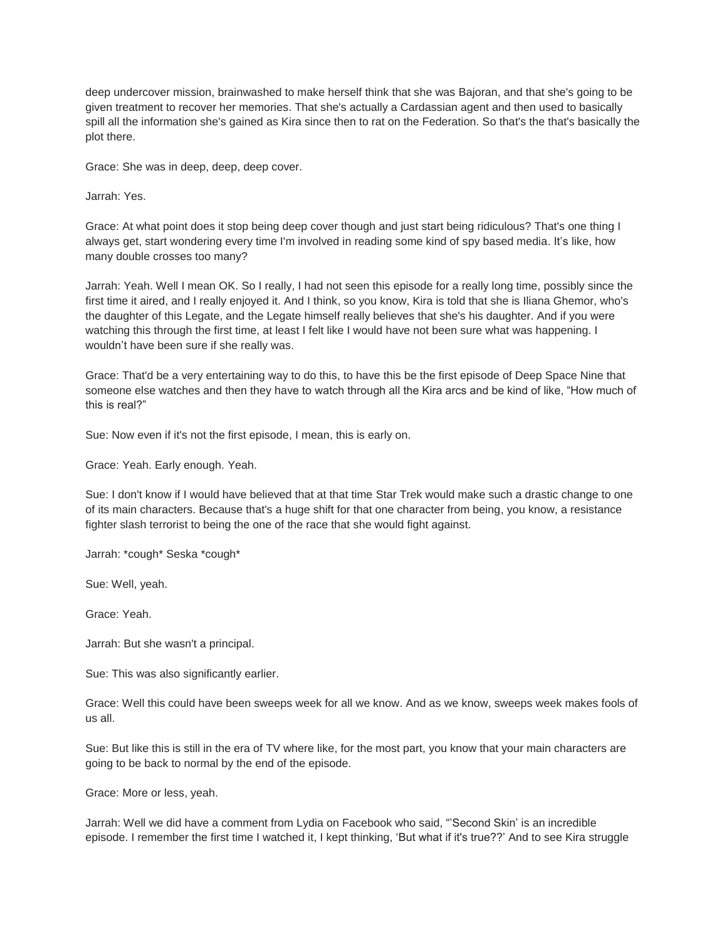deep undercover mission, brainwashed to make herself think that she was Bajoran, and that she's going to be given treatment to recover her memories. That she's actually a Cardassian agent and then used to basically spill all the information she's gained as Kira since then to rat on the Federation. So that's the that's basically the plot there.

Grace: She was in deep, deep, deep cover.

Jarrah: Yes.

Grace: At what point does it stop being deep cover though and just start being ridiculous? That's one thing I always get, start wondering every time I'm involved in reading some kind of spy based media. It's like, how many double crosses too many?

Jarrah: Yeah. Well I mean OK. So I really, I had not seen this episode for a really long time, possibly since the first time it aired, and I really enjoyed it. And I think, so you know, Kira is told that she is Iliana Ghemor, who's the daughter of this Legate, and the Legate himself really believes that she's his daughter. And if you were watching this through the first time, at least I felt like I would have not been sure what was happening. I wouldn't have been sure if she really was.

Grace: That'd be a very entertaining way to do this, to have this be the first episode of Deep Space Nine that someone else watches and then they have to watch through all the Kira arcs and be kind of like, "How much of this is real?"

Sue: Now even if it's not the first episode, I mean, this is early on.

Grace: Yeah. Early enough. Yeah.

Sue: I don't know if I would have believed that at that time Star Trek would make such a drastic change to one of its main characters. Because that's a huge shift for that one character from being, you know, a resistance fighter slash terrorist to being the one of the race that she would fight against.

Jarrah: \*cough\* Seska \*cough\*

Sue: Well, yeah.

Grace: Yeah.

Jarrah: But she wasn't a principal.

Sue: This was also significantly earlier.

Grace: Well this could have been sweeps week for all we know. And as we know, sweeps week makes fools of us all.

Sue: But like this is still in the era of TV where like, for the most part, you know that your main characters are going to be back to normal by the end of the episode.

Grace: More or less, yeah.

Jarrah: Well we did have a comment from Lydia on Facebook who said, "'Second Skin' is an incredible episode. I remember the first time I watched it, I kept thinking, 'But what if it's true??' And to see Kira struggle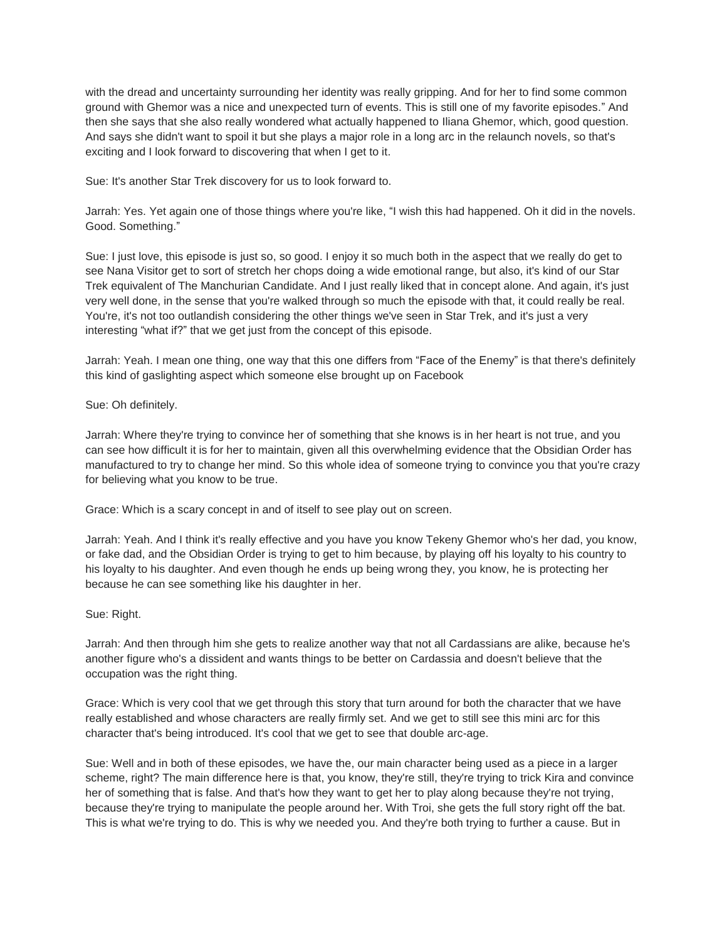with the dread and uncertainty surrounding her identity was really gripping. And for her to find some common ground with Ghemor was a nice and unexpected turn of events. This is still one of my favorite episodes." And then she says that she also really wondered what actually happened to Iliana Ghemor, which, good question. And says she didn't want to spoil it but she plays a major role in a long arc in the relaunch novels, so that's exciting and I look forward to discovering that when I get to it.

Sue: It's another Star Trek discovery for us to look forward to.

Jarrah: Yes. Yet again one of those things where you're like, "I wish this had happened. Oh it did in the novels. Good. Something."

Sue: I just love, this episode is just so, so good. I enjoy it so much both in the aspect that we really do get to see Nana Visitor get to sort of stretch her chops doing a wide emotional range, but also, it's kind of our Star Trek equivalent of The Manchurian Candidate. And I just really liked that in concept alone. And again, it's just very well done, in the sense that you're walked through so much the episode with that, it could really be real. You're, it's not too outlandish considering the other things we've seen in Star Trek, and it's just a very interesting "what if?" that we get just from the concept of this episode.

Jarrah: Yeah. I mean one thing, one way that this one differs from "Face of the Enemy" is that there's definitely this kind of gaslighting aspect which someone else brought up on Facebook

Sue: Oh definitely.

Jarrah: Where they're trying to convince her of something that she knows is in her heart is not true, and you can see how difficult it is for her to maintain, given all this overwhelming evidence that the Obsidian Order has manufactured to try to change her mind. So this whole idea of someone trying to convince you that you're crazy for believing what you know to be true.

Grace: Which is a scary concept in and of itself to see play out on screen.

Jarrah: Yeah. And I think it's really effective and you have you know Tekeny Ghemor who's her dad, you know, or fake dad, and the Obsidian Order is trying to get to him because, by playing off his loyalty to his country to his loyalty to his daughter. And even though he ends up being wrong they, you know, he is protecting her because he can see something like his daughter in her.

Sue: Right.

Jarrah: And then through him she gets to realize another way that not all Cardassians are alike, because he's another figure who's a dissident and wants things to be better on Cardassia and doesn't believe that the occupation was the right thing.

Grace: Which is very cool that we get through this story that turn around for both the character that we have really established and whose characters are really firmly set. And we get to still see this mini arc for this character that's being introduced. It's cool that we get to see that double arc-age.

Sue: Well and in both of these episodes, we have the, our main character being used as a piece in a larger scheme, right? The main difference here is that, you know, they're still, they're trying to trick Kira and convince her of something that is false. And that's how they want to get her to play along because they're not trying, because they're trying to manipulate the people around her. With Troi, she gets the full story right off the bat. This is what we're trying to do. This is why we needed you. And they're both trying to further a cause. But in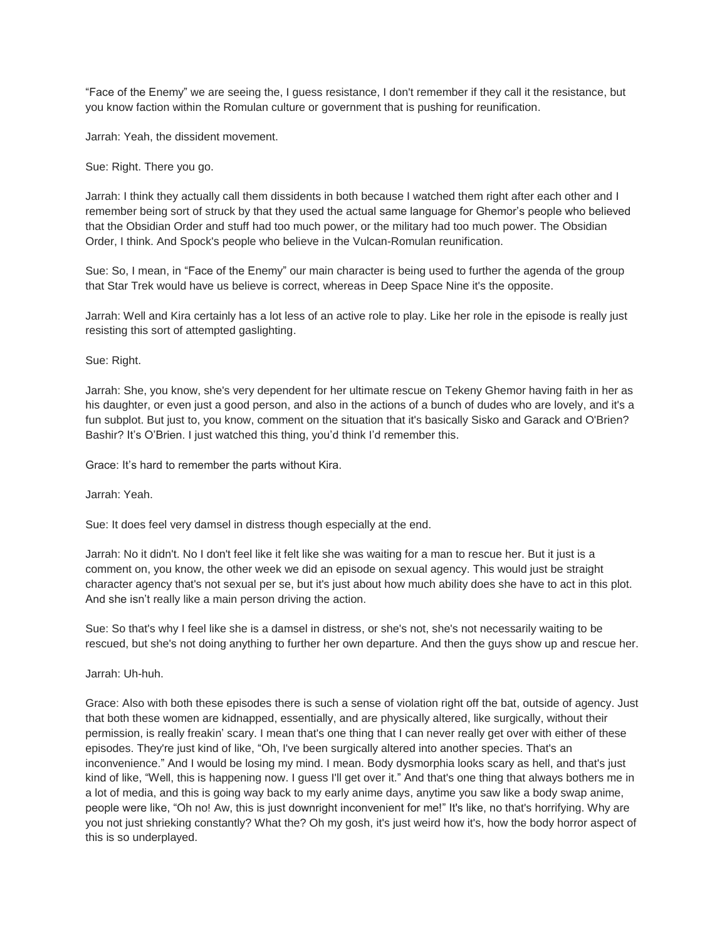"Face of the Enemy" we are seeing the, I guess resistance, I don't remember if they call it the resistance, but you know faction within the Romulan culture or government that is pushing for reunification.

Jarrah: Yeah, the dissident movement.

Sue: Right. There you go.

Jarrah: I think they actually call them dissidents in both because I watched them right after each other and I remember being sort of struck by that they used the actual same language for Ghemor's people who believed that the Obsidian Order and stuff had too much power, or the military had too much power. The Obsidian Order, I think. And Spock's people who believe in the Vulcan-Romulan reunification.

Sue: So, I mean, in "Face of the Enemy" our main character is being used to further the agenda of the group that Star Trek would have us believe is correct, whereas in Deep Space Nine it's the opposite.

Jarrah: Well and Kira certainly has a lot less of an active role to play. Like her role in the episode is really just resisting this sort of attempted gaslighting.

Sue: Right.

Jarrah: She, you know, she's very dependent for her ultimate rescue on Tekeny Ghemor having faith in her as his daughter, or even just a good person, and also in the actions of a bunch of dudes who are lovely, and it's a fun subplot. But just to, you know, comment on the situation that it's basically Sisko and Garack and O'Brien? Bashir? It's O'Brien. I just watched this thing, you'd think I'd remember this.

Grace: It's hard to remember the parts without Kira.

Jarrah: Yeah.

Sue: It does feel very damsel in distress though especially at the end.

Jarrah: No it didn't. No I don't feel like it felt like she was waiting for a man to rescue her. But it just is a comment on, you know, the other week we did an episode on sexual agency. This would just be straight character agency that's not sexual per se, but it's just about how much ability does she have to act in this plot. And she isn't really like a main person driving the action.

Sue: So that's why I feel like she is a damsel in distress, or she's not, she's not necessarily waiting to be rescued, but she's not doing anything to further her own departure. And then the guys show up and rescue her.

Jarrah: Uh-huh.

Grace: Also with both these episodes there is such a sense of violation right off the bat, outside of agency. Just that both these women are kidnapped, essentially, and are physically altered, like surgically, without their permission, is really freakin' scary. I mean that's one thing that I can never really get over with either of these episodes. They're just kind of like, "Oh, I've been surgically altered into another species. That's an inconvenience." And I would be losing my mind. I mean. Body dysmorphia looks scary as hell, and that's just kind of like, "Well, this is happening now. I guess I'll get over it." And that's one thing that always bothers me in a lot of media, and this is going way back to my early anime days, anytime you saw like a body swap anime, people were like, "Oh no! Aw, this is just downright inconvenient for me!" It's like, no that's horrifying. Why are you not just shrieking constantly? What the? Oh my gosh, it's just weird how it's, how the body horror aspect of this is so underplayed.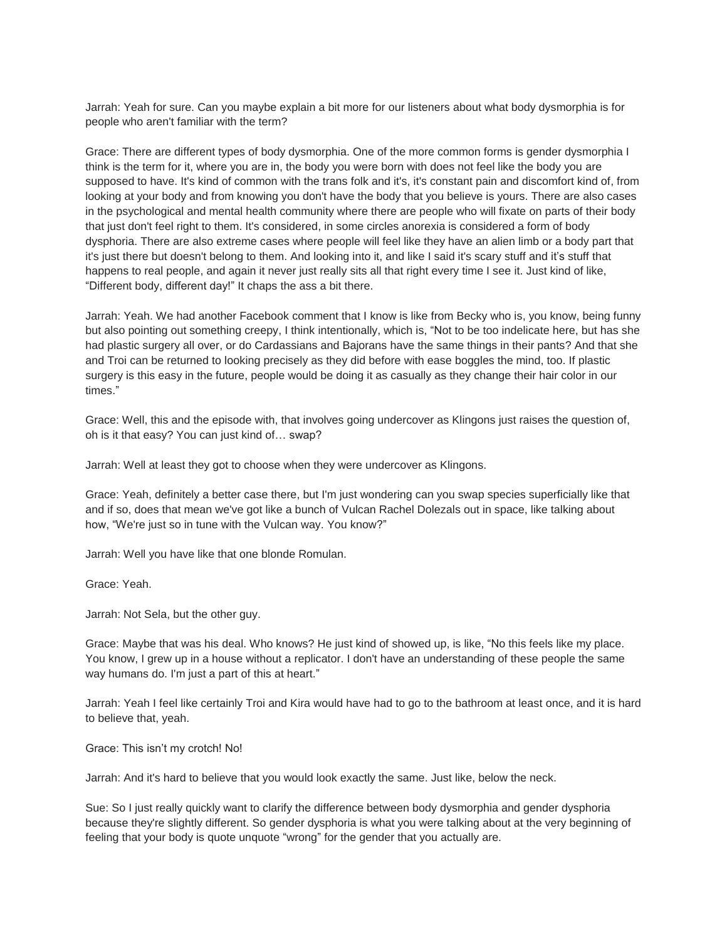Jarrah: Yeah for sure. Can you maybe explain a bit more for our listeners about what body dysmorphia is for people who aren't familiar with the term?

Grace: There are different types of body dysmorphia. One of the more common forms is gender dysmorphia I think is the term for it, where you are in, the body you were born with does not feel like the body you are supposed to have. It's kind of common with the trans folk and it's, it's constant pain and discomfort kind of, from looking at your body and from knowing you don't have the body that you believe is yours. There are also cases in the psychological and mental health community where there are people who will fixate on parts of their body that just don't feel right to them. It's considered, in some circles anorexia is considered a form of body dysphoria. There are also extreme cases where people will feel like they have an alien limb or a body part that it's just there but doesn't belong to them. And looking into it, and like I said it's scary stuff and it's stuff that happens to real people, and again it never just really sits all that right every time I see it. Just kind of like, "Different body, different day!" It chaps the ass a bit there.

Jarrah: Yeah. We had another Facebook comment that I know is like from Becky who is, you know, being funny but also pointing out something creepy, I think intentionally, which is, "Not to be too indelicate here, but has she had plastic surgery all over, or do Cardassians and Bajorans have the same things in their pants? And that she and Troi can be returned to looking precisely as they did before with ease boggles the mind, too. If plastic surgery is this easy in the future, people would be doing it as casually as they change their hair color in our times."

Grace: Well, this and the episode with, that involves going undercover as Klingons just raises the question of, oh is it that easy? You can just kind of… swap?

Jarrah: Well at least they got to choose when they were undercover as Klingons.

Grace: Yeah, definitely a better case there, but I'm just wondering can you swap species superficially like that and if so, does that mean we've got like a bunch of Vulcan Rachel Dolezals out in space, like talking about how, "We're just so in tune with the Vulcan way. You know?"

Jarrah: Well you have like that one blonde Romulan.

Grace: Yeah.

Jarrah: Not Sela, but the other guy.

Grace: Maybe that was his deal. Who knows? He just kind of showed up, is like, "No this feels like my place. You know, I grew up in a house without a replicator. I don't have an understanding of these people the same way humans do. I'm just a part of this at heart."

Jarrah: Yeah I feel like certainly Troi and Kira would have had to go to the bathroom at least once, and it is hard to believe that, yeah.

Grace: This isn't my crotch! No!

Jarrah: And it's hard to believe that you would look exactly the same. Just like, below the neck.

Sue: So I just really quickly want to clarify the difference between body dysmorphia and gender dysphoria because they're slightly different. So gender dysphoria is what you were talking about at the very beginning of feeling that your body is quote unquote "wrong" for the gender that you actually are.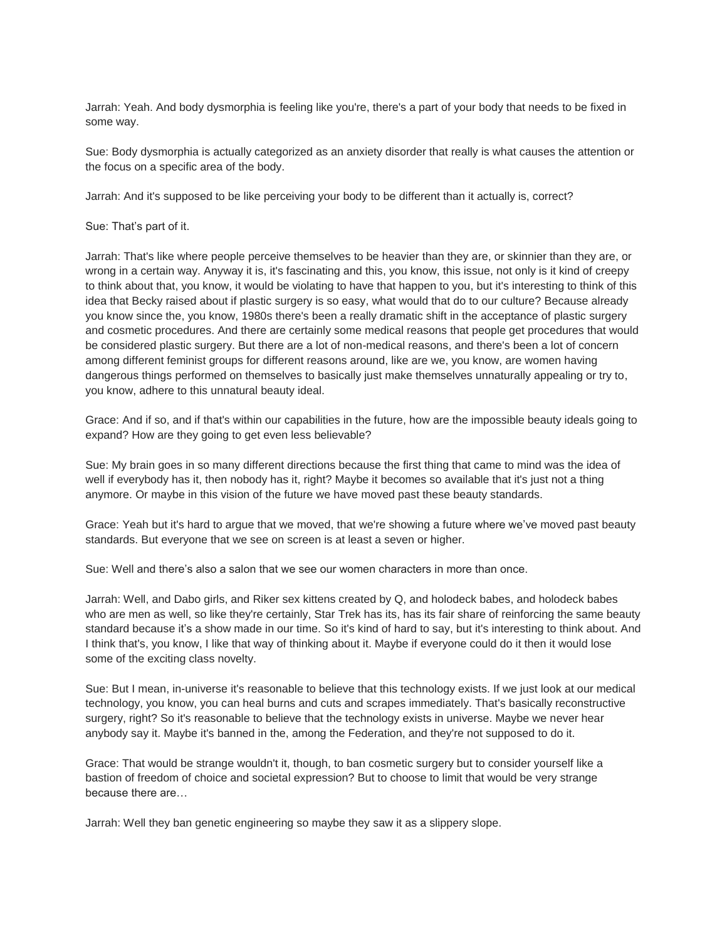Jarrah: Yeah. And body dysmorphia is feeling like you're, there's a part of your body that needs to be fixed in some way.

Sue: Body dysmorphia is actually categorized as an anxiety disorder that really is what causes the attention or the focus on a specific area of the body.

Jarrah: And it's supposed to be like perceiving your body to be different than it actually is, correct?

Sue: That's part of it.

Jarrah: That's like where people perceive themselves to be heavier than they are, or skinnier than they are, or wrong in a certain way. Anyway it is, it's fascinating and this, you know, this issue, not only is it kind of creepy to think about that, you know, it would be violating to have that happen to you, but it's interesting to think of this idea that Becky raised about if plastic surgery is so easy, what would that do to our culture? Because already you know since the, you know, 1980s there's been a really dramatic shift in the acceptance of plastic surgery and cosmetic procedures. And there are certainly some medical reasons that people get procedures that would be considered plastic surgery. But there are a lot of non-medical reasons, and there's been a lot of concern among different feminist groups for different reasons around, like are we, you know, are women having dangerous things performed on themselves to basically just make themselves unnaturally appealing or try to, you know, adhere to this unnatural beauty ideal.

Grace: And if so, and if that's within our capabilities in the future, how are the impossible beauty ideals going to expand? How are they going to get even less believable?

Sue: My brain goes in so many different directions because the first thing that came to mind was the idea of well if everybody has it, then nobody has it, right? Maybe it becomes so available that it's just not a thing anymore. Or maybe in this vision of the future we have moved past these beauty standards.

Grace: Yeah but it's hard to argue that we moved, that we're showing a future where we've moved past beauty standards. But everyone that we see on screen is at least a seven or higher.

Sue: Well and there's also a salon that we see our women characters in more than once.

Jarrah: Well, and Dabo girls, and Riker sex kittens created by Q, and holodeck babes, and holodeck babes who are men as well, so like they're certainly, Star Trek has its, has its fair share of reinforcing the same beauty standard because it's a show made in our time. So it's kind of hard to say, but it's interesting to think about. And I think that's, you know, I like that way of thinking about it. Maybe if everyone could do it then it would lose some of the exciting class novelty.

Sue: But I mean, in-universe it's reasonable to believe that this technology exists. If we just look at our medical technology, you know, you can heal burns and cuts and scrapes immediately. That's basically reconstructive surgery, right? So it's reasonable to believe that the technology exists in universe. Maybe we never hear anybody say it. Maybe it's banned in the, among the Federation, and they're not supposed to do it.

Grace: That would be strange wouldn't it, though, to ban cosmetic surgery but to consider yourself like a bastion of freedom of choice and societal expression? But to choose to limit that would be very strange because there are…

Jarrah: Well they ban genetic engineering so maybe they saw it as a slippery slope.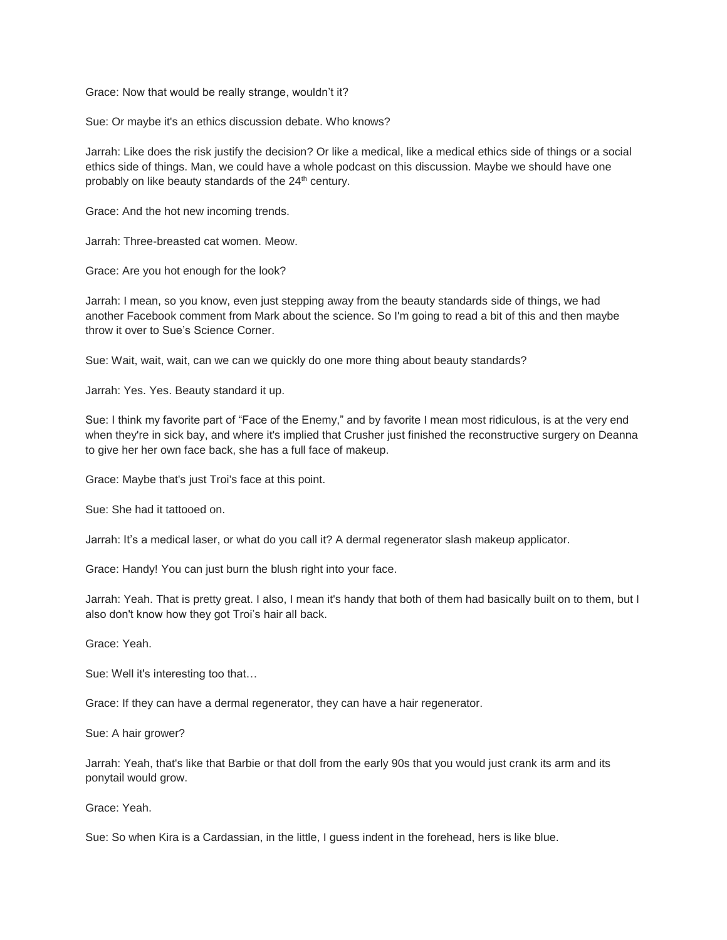Grace: Now that would be really strange, wouldn't it?

Sue: Or maybe it's an ethics discussion debate. Who knows?

Jarrah: Like does the risk justify the decision? Or like a medical, like a medical ethics side of things or a social ethics side of things. Man, we could have a whole podcast on this discussion. Maybe we should have one probably on like beauty standards of the 24<sup>th</sup> century.

Grace: And the hot new incoming trends.

Jarrah: Three-breasted cat women. Meow.

Grace: Are you hot enough for the look?

Jarrah: I mean, so you know, even just stepping away from the beauty standards side of things, we had another Facebook comment from Mark about the science. So I'm going to read a bit of this and then maybe throw it over to Sue's Science Corner.

Sue: Wait, wait, wait, can we can we quickly do one more thing about beauty standards?

Jarrah: Yes. Yes. Beauty standard it up.

Sue: I think my favorite part of "Face of the Enemy," and by favorite I mean most ridiculous, is at the very end when they're in sick bay, and where it's implied that Crusher just finished the reconstructive surgery on Deanna to give her her own face back, she has a full face of makeup.

Grace: Maybe that's just Troi's face at this point.

Sue: She had it tattooed on.

Jarrah: It's a medical laser, or what do you call it? A dermal regenerator slash makeup applicator.

Grace: Handy! You can just burn the blush right into your face.

Jarrah: Yeah. That is pretty great. I also, I mean it's handy that both of them had basically built on to them, but I also don't know how they got Troi's hair all back.

Grace: Yeah.

Sue: Well it's interesting too that…

Grace: If they can have a dermal regenerator, they can have a hair regenerator.

Sue: A hair grower?

Jarrah: Yeah, that's like that Barbie or that doll from the early 90s that you would just crank its arm and its ponytail would grow.

Grace: Yeah.

Sue: So when Kira is a Cardassian, in the little, I guess indent in the forehead, hers is like blue.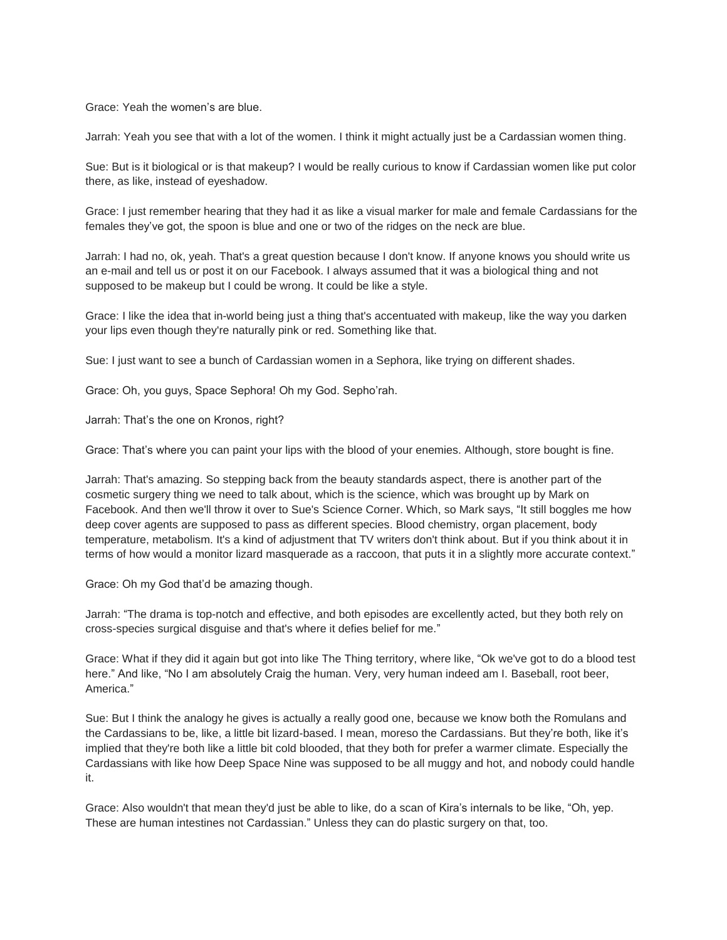Grace: Yeah the women's are blue.

Jarrah: Yeah you see that with a lot of the women. I think it might actually just be a Cardassian women thing.

Sue: But is it biological or is that makeup? I would be really curious to know if Cardassian women like put color there, as like, instead of eyeshadow.

Grace: I just remember hearing that they had it as like a visual marker for male and female Cardassians for the females they've got, the spoon is blue and one or two of the ridges on the neck are blue.

Jarrah: I had no, ok, yeah. That's a great question because I don't know. If anyone knows you should write us an e-mail and tell us or post it on our Facebook. I always assumed that it was a biological thing and not supposed to be makeup but I could be wrong. It could be like a style.

Grace: I like the idea that in-world being just a thing that's accentuated with makeup, like the way you darken your lips even though they're naturally pink or red. Something like that.

Sue: I just want to see a bunch of Cardassian women in a Sephora, like trying on different shades.

Grace: Oh, you guys, Space Sephora! Oh my God. Sepho'rah.

Jarrah: That's the one on Kronos, right?

Grace: That's where you can paint your lips with the blood of your enemies. Although, store bought is fine.

Jarrah: That's amazing. So stepping back from the beauty standards aspect, there is another part of the cosmetic surgery thing we need to talk about, which is the science, which was brought up by Mark on Facebook. And then we'll throw it over to Sue's Science Corner. Which, so Mark says, "It still boggles me how deep cover agents are supposed to pass as different species. Blood chemistry, organ placement, body temperature, metabolism. It's a kind of adjustment that TV writers don't think about. But if you think about it in terms of how would a monitor lizard masquerade as a raccoon, that puts it in a slightly more accurate context."

Grace: Oh my God that'd be amazing though.

Jarrah: "The drama is top-notch and effective, and both episodes are excellently acted, but they both rely on cross-species surgical disguise and that's where it defies belief for me."

Grace: What if they did it again but got into like The Thing territory, where like, "Ok we've got to do a blood test here." And like, "No I am absolutely Craig the human. Very, very human indeed am I. Baseball, root beer, America."

Sue: But I think the analogy he gives is actually a really good one, because we know both the Romulans and the Cardassians to be, like, a little bit lizard-based. I mean, moreso the Cardassians. But they're both, like it's implied that they're both like a little bit cold blooded, that they both for prefer a warmer climate. Especially the Cardassians with like how Deep Space Nine was supposed to be all muggy and hot, and nobody could handle it.

Grace: Also wouldn't that mean they'd just be able to like, do a scan of Kira's internals to be like, "Oh, yep. These are human intestines not Cardassian." Unless they can do plastic surgery on that, too.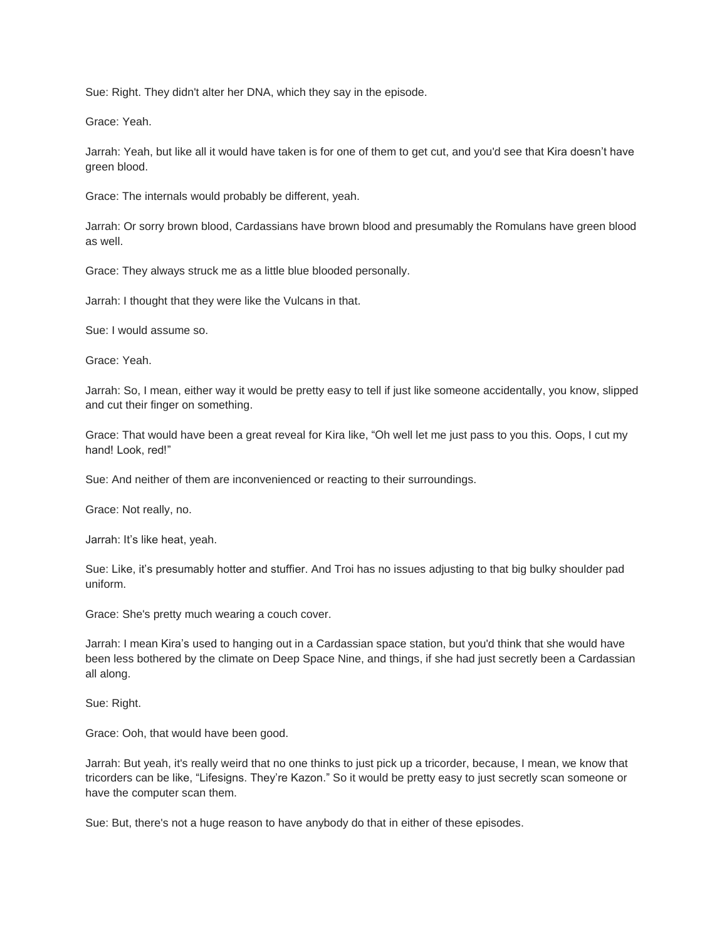Sue: Right. They didn't alter her DNA, which they say in the episode.

Grace: Yeah.

Jarrah: Yeah, but like all it would have taken is for one of them to get cut, and you'd see that Kira doesn't have green blood.

Grace: The internals would probably be different, yeah.

Jarrah: Or sorry brown blood, Cardassians have brown blood and presumably the Romulans have green blood as well.

Grace: They always struck me as a little blue blooded personally.

Jarrah: I thought that they were like the Vulcans in that.

Sue: I would assume so.

Grace: Yeah.

Jarrah: So, I mean, either way it would be pretty easy to tell if just like someone accidentally, you know, slipped and cut their finger on something.

Grace: That would have been a great reveal for Kira like, "Oh well let me just pass to you this. Oops, I cut my hand! Look, red!"

Sue: And neither of them are inconvenienced or reacting to their surroundings.

Grace: Not really, no.

Jarrah: It's like heat, yeah.

Sue: Like, it's presumably hotter and stuffier. And Troi has no issues adjusting to that big bulky shoulder pad uniform.

Grace: She's pretty much wearing a couch cover.

Jarrah: I mean Kira's used to hanging out in a Cardassian space station, but you'd think that she would have been less bothered by the climate on Deep Space Nine, and things, if she had just secretly been a Cardassian all along.

Sue: Right.

Grace: Ooh, that would have been good.

Jarrah: But yeah, it's really weird that no one thinks to just pick up a tricorder, because, I mean, we know that tricorders can be like, "Lifesigns. They're Kazon." So it would be pretty easy to just secretly scan someone or have the computer scan them.

Sue: But, there's not a huge reason to have anybody do that in either of these episodes.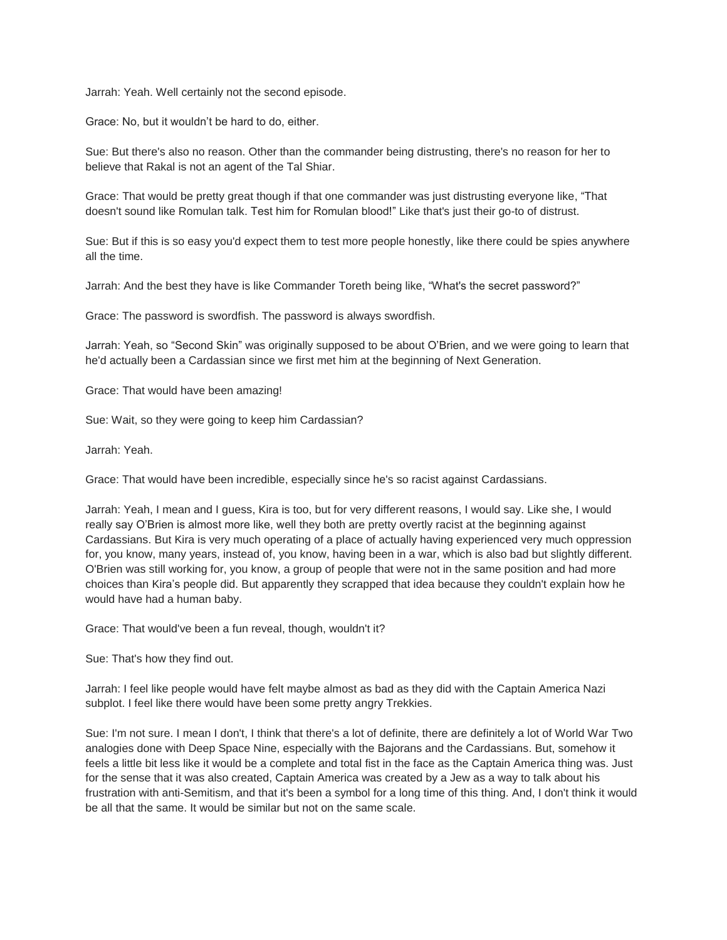Jarrah: Yeah. Well certainly not the second episode.

Grace: No, but it wouldn't be hard to do, either.

Sue: But there's also no reason. Other than the commander being distrusting, there's no reason for her to believe that Rakal is not an agent of the Tal Shiar.

Grace: That would be pretty great though if that one commander was just distrusting everyone like, "That doesn't sound like Romulan talk. Test him for Romulan blood!" Like that's just their go-to of distrust.

Sue: But if this is so easy you'd expect them to test more people honestly, like there could be spies anywhere all the time.

Jarrah: And the best they have is like Commander Toreth being like, "What's the secret password?"

Grace: The password is swordfish. The password is always swordfish.

Jarrah: Yeah, so "Second Skin" was originally supposed to be about O'Brien, and we were going to learn that he'd actually been a Cardassian since we first met him at the beginning of Next Generation.

Grace: That would have been amazing!

Sue: Wait, so they were going to keep him Cardassian?

Jarrah: Yeah.

Grace: That would have been incredible, especially since he's so racist against Cardassians.

Jarrah: Yeah, I mean and I guess, Kira is too, but for very different reasons, I would say. Like she, I would really say O'Brien is almost more like, well they both are pretty overtly racist at the beginning against Cardassians. But Kira is very much operating of a place of actually having experienced very much oppression for, you know, many years, instead of, you know, having been in a war, which is also bad but slightly different. O'Brien was still working for, you know, a group of people that were not in the same position and had more choices than Kira's people did. But apparently they scrapped that idea because they couldn't explain how he would have had a human baby.

Grace: That would've been a fun reveal, though, wouldn't it?

Sue: That's how they find out.

Jarrah: I feel like people would have felt maybe almost as bad as they did with the Captain America Nazi subplot. I feel like there would have been some pretty angry Trekkies.

Sue: I'm not sure. I mean I don't, I think that there's a lot of definite, there are definitely a lot of World War Two analogies done with Deep Space Nine, especially with the Bajorans and the Cardassians. But, somehow it feels a little bit less like it would be a complete and total fist in the face as the Captain America thing was. Just for the sense that it was also created, Captain America was created by a Jew as a way to talk about his frustration with anti-Semitism, and that it's been a symbol for a long time of this thing. And, I don't think it would be all that the same. It would be similar but not on the same scale.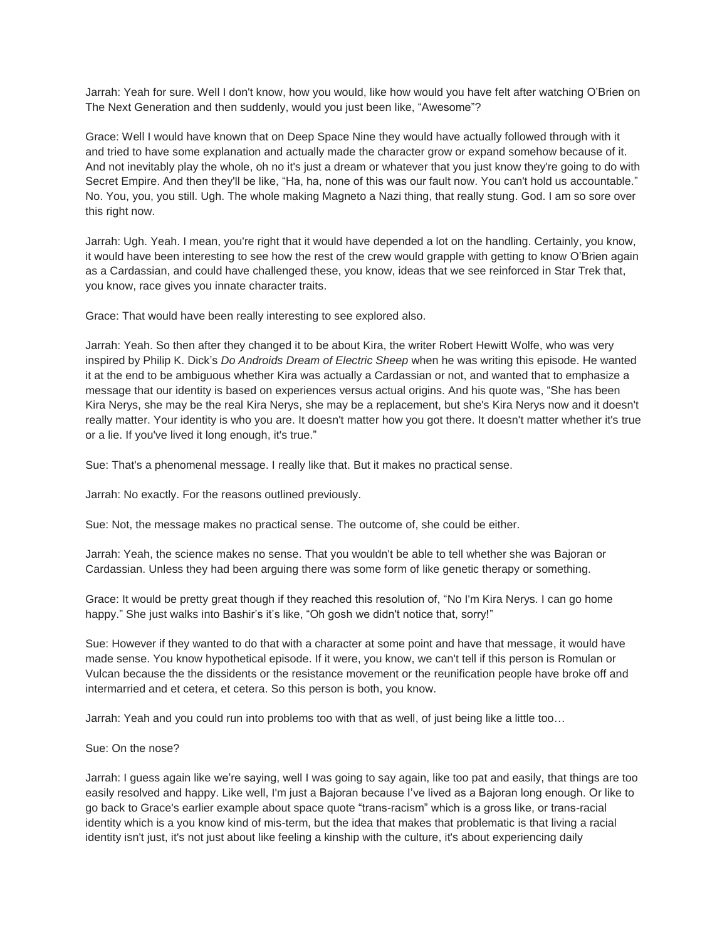Jarrah: Yeah for sure. Well I don't know, how you would, like how would you have felt after watching O'Brien on The Next Generation and then suddenly, would you just been like, "Awesome"?

Grace: Well I would have known that on Deep Space Nine they would have actually followed through with it and tried to have some explanation and actually made the character grow or expand somehow because of it. And not inevitably play the whole, oh no it's just a dream or whatever that you just know they're going to do with Secret Empire. And then they'll be like, "Ha, ha, none of this was our fault now. You can't hold us accountable." No. You, you, you still. Ugh. The whole making Magneto a Nazi thing, that really stung. God. I am so sore over this right now.

Jarrah: Ugh. Yeah. I mean, you're right that it would have depended a lot on the handling. Certainly, you know, it would have been interesting to see how the rest of the crew would grapple with getting to know O'Brien again as a Cardassian, and could have challenged these, you know, ideas that we see reinforced in Star Trek that, you know, race gives you innate character traits.

Grace: That would have been really interesting to see explored also.

Jarrah: Yeah. So then after they changed it to be about Kira, the writer Robert Hewitt Wolfe, who was very inspired by Philip K. Dick's *Do Androids Dream of Electric Sheep* when he was writing this episode. He wanted it at the end to be ambiguous whether Kira was actually a Cardassian or not, and wanted that to emphasize a message that our identity is based on experiences versus actual origins. And his quote was, "She has been Kira Nerys, she may be the real Kira Nerys, she may be a replacement, but she's Kira Nerys now and it doesn't really matter. Your identity is who you are. It doesn't matter how you got there. It doesn't matter whether it's true or a lie. If you've lived it long enough, it's true."

Sue: That's a phenomenal message. I really like that. But it makes no practical sense.

Jarrah: No exactly. For the reasons outlined previously.

Sue: Not, the message makes no practical sense. The outcome of, she could be either.

Jarrah: Yeah, the science makes no sense. That you wouldn't be able to tell whether she was Bajoran or Cardassian. Unless they had been arguing there was some form of like genetic therapy or something.

Grace: It would be pretty great though if they reached this resolution of, "No I'm Kira Nerys. I can go home happy." She just walks into Bashir's it's like, "Oh gosh we didn't notice that, sorry!"

Sue: However if they wanted to do that with a character at some point and have that message, it would have made sense. You know hypothetical episode. If it were, you know, we can't tell if this person is Romulan or Vulcan because the the dissidents or the resistance movement or the reunification people have broke off and intermarried and et cetera, et cetera. So this person is both, you know.

Jarrah: Yeah and you could run into problems too with that as well, of just being like a little too…

## Sue: On the nose?

Jarrah: I guess again like we're saying, well I was going to say again, like too pat and easily, that things are too easily resolved and happy. Like well, I'm just a Bajoran because I've lived as a Bajoran long enough. Or like to go back to Grace's earlier example about space quote "trans-racism" which is a gross like, or trans-racial identity which is a you know kind of mis-term, but the idea that makes that problematic is that living a racial identity isn't just, it's not just about like feeling a kinship with the culture, it's about experiencing daily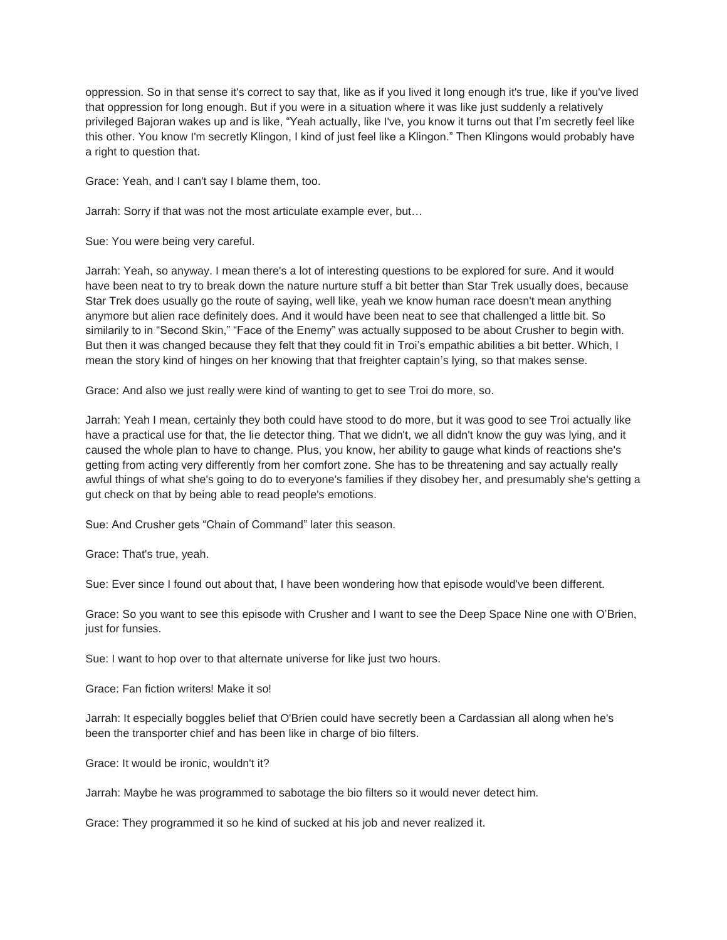oppression. So in that sense it's correct to say that, like as if you lived it long enough it's true, like if you've lived that oppression for long enough. But if you were in a situation where it was like just suddenly a relatively privileged Bajoran wakes up and is like, "Yeah actually, like I've, you know it turns out that I'm secretly feel like this other. You know I'm secretly Klingon, I kind of just feel like a Klingon." Then Klingons would probably have a right to question that.

Grace: Yeah, and I can't say I blame them, too.

Jarrah: Sorry if that was not the most articulate example ever, but…

Sue: You were being very careful.

Jarrah: Yeah, so anyway. I mean there's a lot of interesting questions to be explored for sure. And it would have been neat to try to break down the nature nurture stuff a bit better than Star Trek usually does, because Star Trek does usually go the route of saying, well like, yeah we know human race doesn't mean anything anymore but alien race definitely does. And it would have been neat to see that challenged a little bit. So similarily to in "Second Skin," "Face of the Enemy" was actually supposed to be about Crusher to begin with. But then it was changed because they felt that they could fit in Troi's empathic abilities a bit better. Which, I mean the story kind of hinges on her knowing that that freighter captain's lying, so that makes sense.

Grace: And also we just really were kind of wanting to get to see Troi do more, so.

Jarrah: Yeah I mean, certainly they both could have stood to do more, but it was good to see Troi actually like have a practical use for that, the lie detector thing. That we didn't, we all didn't know the guy was lying, and it caused the whole plan to have to change. Plus, you know, her ability to gauge what kinds of reactions she's getting from acting very differently from her comfort zone. She has to be threatening and say actually really awful things of what she's going to do to everyone's families if they disobey her, and presumably she's getting a gut check on that by being able to read people's emotions.

Sue: And Crusher gets "Chain of Command" later this season.

Grace: That's true, yeah.

Sue: Ever since I found out about that, I have been wondering how that episode would've been different.

Grace: So you want to see this episode with Crusher and I want to see the Deep Space Nine one with O'Brien, just for funsies.

Sue: I want to hop over to that alternate universe for like just two hours.

Grace: Fan fiction writers! Make it so!

Jarrah: It especially boggles belief that O'Brien could have secretly been a Cardassian all along when he's been the transporter chief and has been like in charge of bio filters.

Grace: It would be ironic, wouldn't it?

Jarrah: Maybe he was programmed to sabotage the bio filters so it would never detect him.

Grace: They programmed it so he kind of sucked at his job and never realized it.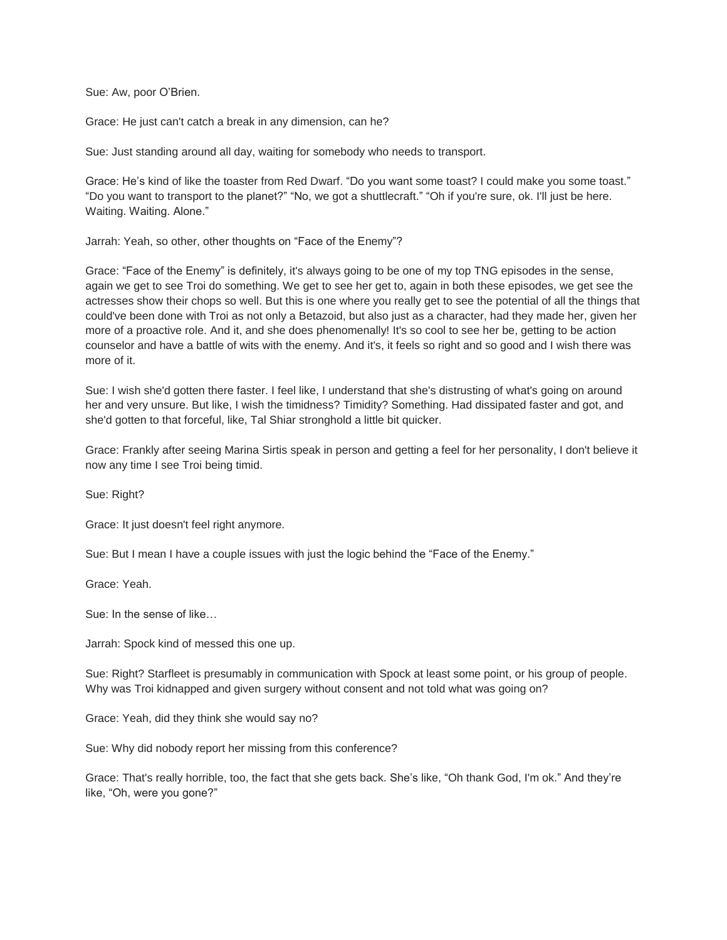Sue: Aw, poor O'Brien.

Grace: He just can't catch a break in any dimension, can he?

Sue: Just standing around all day, waiting for somebody who needs to transport.

Grace: He's kind of like the toaster from Red Dwarf. "Do you want some toast? I could make you some toast." "Do you want to transport to the planet?" "No, we got a shuttlecraft." "Oh if you're sure, ok. I'll just be here. Waiting. Waiting. Alone."

Jarrah: Yeah, so other, other thoughts on "Face of the Enemy"?

Grace: "Face of the Enemy" is definitely, it's always going to be one of my top TNG episodes in the sense, again we get to see Troi do something. We get to see her get to, again in both these episodes, we get see the actresses show their chops so well. But this is one where you really get to see the potential of all the things that could've been done with Troi as not only a Betazoid, but also just as a character, had they made her, given her more of a proactive role. And it, and she does phenomenally! It's so cool to see her be, getting to be action counselor and have a battle of wits with the enemy. And it's, it feels so right and so good and I wish there was more of it.

Sue: I wish she'd gotten there faster. I feel like, I understand that she's distrusting of what's going on around her and very unsure. But like, I wish the timidness? Timidity? Something. Had dissipated faster and got, and she'd gotten to that forceful, like, Tal Shiar stronghold a little bit quicker.

Grace: Frankly after seeing Marina Sirtis speak in person and getting a feel for her personality, I don't believe it now any time I see Troi being timid.

Sue: Right?

Grace: It just doesn't feel right anymore.

Sue: But I mean I have a couple issues with just the logic behind the "Face of the Enemy."

Grace: Yeah.

Sue: In the sense of like…

Jarrah: Spock kind of messed this one up.

Sue: Right? Starfleet is presumably in communication with Spock at least some point, or his group of people. Why was Troi kidnapped and given surgery without consent and not told what was going on?

Grace: Yeah, did they think she would say no?

Sue: Why did nobody report her missing from this conference?

Grace: That's really horrible, too, the fact that she gets back. She's like, "Oh thank God, I'm ok." And they're like, "Oh, were you gone?"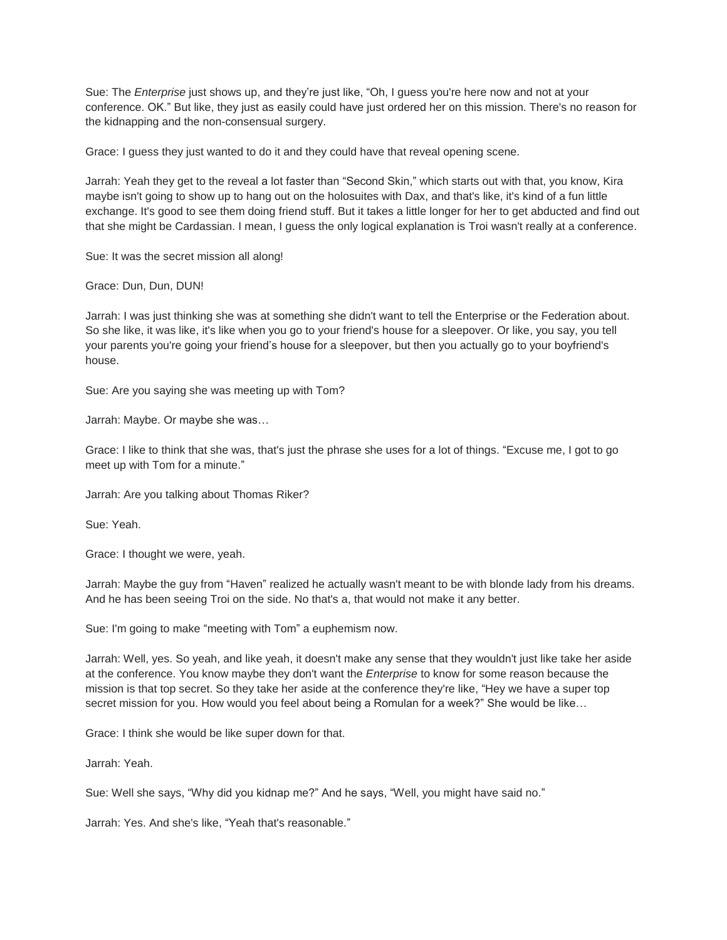Sue: The *Enterprise* just shows up, and they're just like, "Oh, I guess you're here now and not at your conference. OK." But like, they just as easily could have just ordered her on this mission. There's no reason for the kidnapping and the non-consensual surgery.

Grace: I guess they just wanted to do it and they could have that reveal opening scene.

Jarrah: Yeah they get to the reveal a lot faster than "Second Skin," which starts out with that, you know, Kira maybe isn't going to show up to hang out on the holosuites with Dax, and that's like, it's kind of a fun little exchange. It's good to see them doing friend stuff. But it takes a little longer for her to get abducted and find out that she might be Cardassian. I mean, I guess the only logical explanation is Troi wasn't really at a conference.

Sue: It was the secret mission all along!

Grace: Dun, Dun, DUN!

Jarrah: I was just thinking she was at something she didn't want to tell the Enterprise or the Federation about. So she like, it was like, it's like when you go to your friend's house for a sleepover. Or like, you say, you tell your parents you're going your friend's house for a sleepover, but then you actually go to your boyfriend's house.

Sue: Are you saying she was meeting up with Tom?

Jarrah: Maybe. Or maybe she was…

Grace: I like to think that she was, that's just the phrase she uses for a lot of things. "Excuse me, I got to go meet up with Tom for a minute."

Jarrah: Are you talking about Thomas Riker?

Sue: Yeah.

Grace: I thought we were, yeah.

Jarrah: Maybe the guy from "Haven" realized he actually wasn't meant to be with blonde lady from his dreams. And he has been seeing Troi on the side. No that's a, that would not make it any better.

Sue: I'm going to make "meeting with Tom" a euphemism now.

Jarrah: Well, yes. So yeah, and like yeah, it doesn't make any sense that they wouldn't just like take her aside at the conference. You know maybe they don't want the *Enterprise* to know for some reason because the mission is that top secret. So they take her aside at the conference they're like, "Hey we have a super top secret mission for you. How would you feel about being a Romulan for a week?" She would be like…

Grace: I think she would be like super down for that.

Jarrah: Yeah.

Sue: Well she says, "Why did you kidnap me?" And he says, "Well, you might have said no."

Jarrah: Yes. And she's like, "Yeah that's reasonable."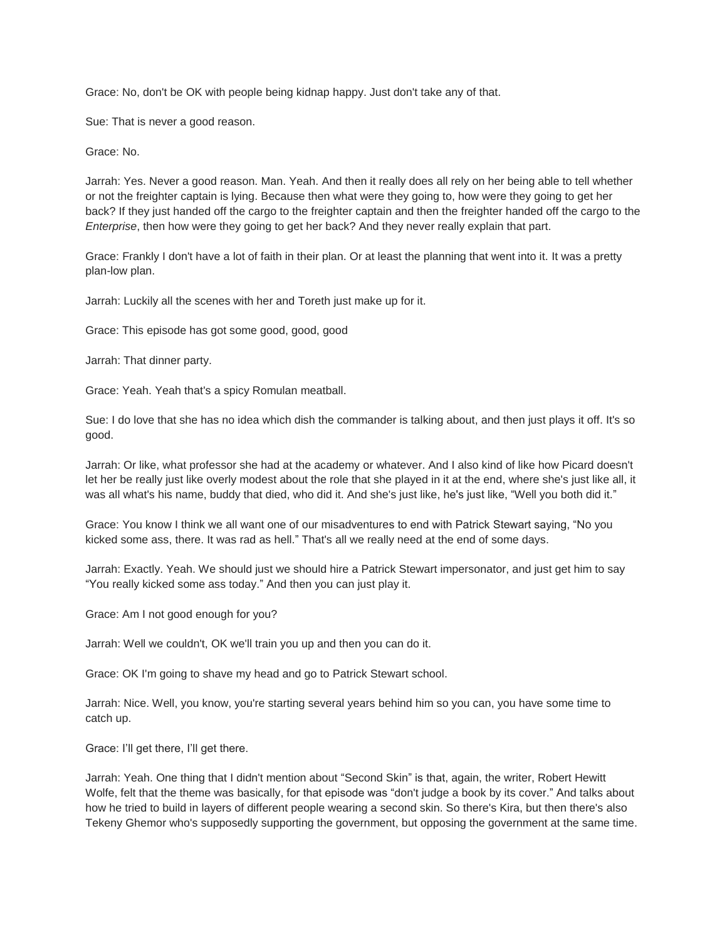Grace: No, don't be OK with people being kidnap happy. Just don't take any of that.

Sue: That is never a good reason.

Grace: No.

Jarrah: Yes. Never a good reason. Man. Yeah. And then it really does all rely on her being able to tell whether or not the freighter captain is lying. Because then what were they going to, how were they going to get her back? If they just handed off the cargo to the freighter captain and then the freighter handed off the cargo to the *Enterprise*, then how were they going to get her back? And they never really explain that part.

Grace: Frankly I don't have a lot of faith in their plan. Or at least the planning that went into it. It was a pretty plan-low plan.

Jarrah: Luckily all the scenes with her and Toreth just make up for it.

Grace: This episode has got some good, good, good

Jarrah: That dinner party.

Grace: Yeah. Yeah that's a spicy Romulan meatball.

Sue: I do love that she has no idea which dish the commander is talking about, and then just plays it off. It's so good.

Jarrah: Or like, what professor she had at the academy or whatever. And I also kind of like how Picard doesn't let her be really just like overly modest about the role that she played in it at the end, where she's just like all, it was all what's his name, buddy that died, who did it. And she's just like, he's just like, "Well you both did it."

Grace: You know I think we all want one of our misadventures to end with Patrick Stewart saying, "No you kicked some ass, there. It was rad as hell." That's all we really need at the end of some days.

Jarrah: Exactly. Yeah. We should just we should hire a Patrick Stewart impersonator, and just get him to say "You really kicked some ass today." And then you can just play it.

Grace: Am I not good enough for you?

Jarrah: Well we couldn't, OK we'll train you up and then you can do it.

Grace: OK I'm going to shave my head and go to Patrick Stewart school.

Jarrah: Nice. Well, you know, you're starting several years behind him so you can, you have some time to catch up.

Grace: I'll get there, I'll get there.

Jarrah: Yeah. One thing that I didn't mention about "Second Skin" is that, again, the writer, Robert Hewitt Wolfe, felt that the theme was basically, for that episode was "don't judge a book by its cover." And talks about how he tried to build in layers of different people wearing a second skin. So there's Kira, but then there's also Tekeny Ghemor who's supposedly supporting the government, but opposing the government at the same time.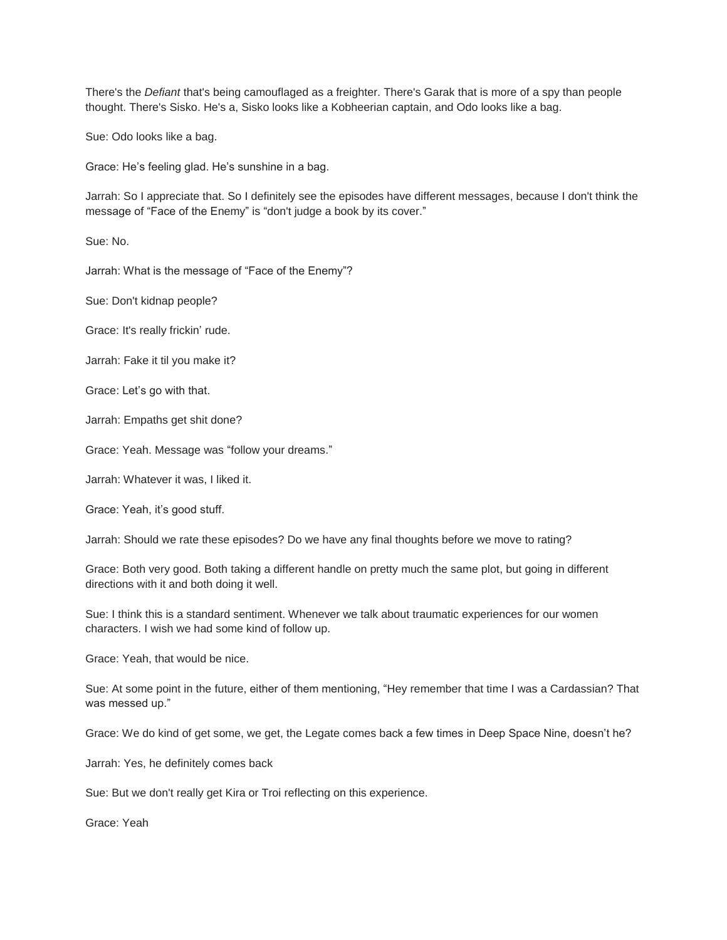There's the *Defiant* that's being camouflaged as a freighter. There's Garak that is more of a spy than people thought. There's Sisko. He's a, Sisko looks like a Kobheerian captain, and Odo looks like a bag.

Sue: Odo looks like a bag.

Grace: He's feeling glad. He's sunshine in a bag.

Jarrah: So I appreciate that. So I definitely see the episodes have different messages, because I don't think the message of "Face of the Enemy" is "don't judge a book by its cover."

Sue: No.

Jarrah: What is the message of "Face of the Enemy"?

Sue: Don't kidnap people?

Grace: It's really frickin' rude.

Jarrah: Fake it til you make it?

Grace: Let's go with that.

Jarrah: Empaths get shit done?

Grace: Yeah. Message was "follow your dreams."

Jarrah: Whatever it was, I liked it.

Grace: Yeah, it's good stuff.

Jarrah: Should we rate these episodes? Do we have any final thoughts before we move to rating?

Grace: Both very good. Both taking a different handle on pretty much the same plot, but going in different directions with it and both doing it well.

Sue: I think this is a standard sentiment. Whenever we talk about traumatic experiences for our women characters. I wish we had some kind of follow up.

Grace: Yeah, that would be nice.

Sue: At some point in the future, either of them mentioning, "Hey remember that time I was a Cardassian? That was messed up."

Grace: We do kind of get some, we get, the Legate comes back a few times in Deep Space Nine, doesn't he?

Jarrah: Yes, he definitely comes back

Sue: But we don't really get Kira or Troi reflecting on this experience.

Grace: Yeah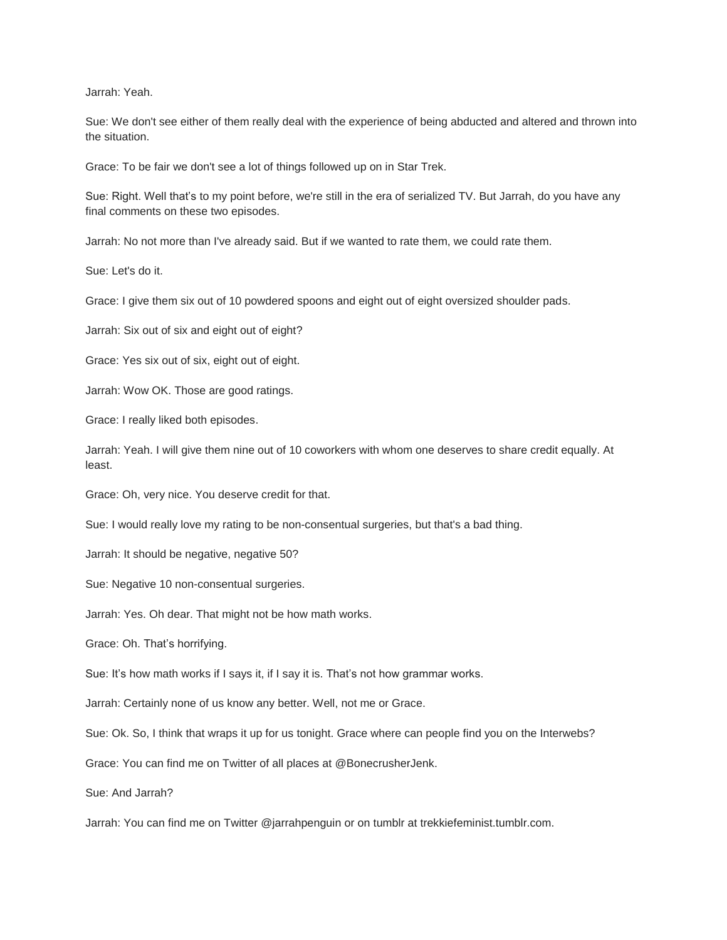Jarrah: Yeah.

Sue: We don't see either of them really deal with the experience of being abducted and altered and thrown into the situation.

Grace: To be fair we don't see a lot of things followed up on in Star Trek.

Sue: Right. Well that's to my point before, we're still in the era of serialized TV. But Jarrah, do you have any final comments on these two episodes.

Jarrah: No not more than I've already said. But if we wanted to rate them, we could rate them.

Sue: Let's do it.

Grace: I give them six out of 10 powdered spoons and eight out of eight oversized shoulder pads.

Jarrah: Six out of six and eight out of eight?

Grace: Yes six out of six, eight out of eight.

Jarrah: Wow OK. Those are good ratings.

Grace: I really liked both episodes.

Jarrah: Yeah. I will give them nine out of 10 coworkers with whom one deserves to share credit equally. At least.

Grace: Oh, very nice. You deserve credit for that.

Sue: I would really love my rating to be non-consentual surgeries, but that's a bad thing.

Jarrah: It should be negative, negative 50?

Sue: Negative 10 non-consentual surgeries.

Jarrah: Yes. Oh dear. That might not be how math works.

Grace: Oh. That's horrifying.

Sue: It's how math works if I says it, if I say it is. That's not how grammar works.

Jarrah: Certainly none of us know any better. Well, not me or Grace.

Sue: Ok. So, I think that wraps it up for us tonight. Grace where can people find you on the Interwebs?

Grace: You can find me on Twitter of all places at @BonecrusherJenk.

Sue: And Jarrah?

Jarrah: You can find me on Twitter @jarrahpenguin or on tumblr at trekkiefeminist.tumblr.com.